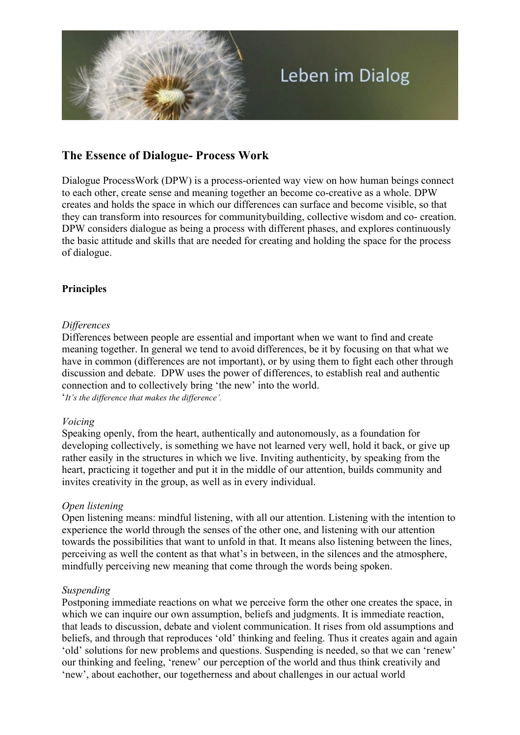

# **The Essence of Dialogue- Process Work**

Dialogue ProcessWork (DPW) is a process-oriented way view on how human beings connect to each other, create sense and meaning together an become co-creative as a whole. DPW creates and holds the space in which our differences can surface and become visible, so that they can transform into resources for communitybuilding, collective wisdom and co- creation. DPW considers dialogue as being a process with different phases, and explores continuously the basic attitude and skills that are needed for creating and holding the space for the process of dialogue.

### **Principles**

### *Differences*

Differences between people are essential and important when we want to find and create meaning together. In general we tend to avoid differences, be it by focusing on that what we have in common (differences are not important), or by using them to fight each other through discussion and debate. DPW uses the power of differences, to establish real and authentic connection and to collectively bring 'the new' into the world.

'*It's the difference that makes the difference'.*

### *Voicing*

Speaking openly, from the heart, authentically and autonomously, as a foundation for developing collectively, is something we have not learned very well, hold it back, or give up rather easily in the structures in which we live. Inviting authenticity, by speaking from the heart, practicing it together and put it in the middle of our attention, builds community and invites creativity in the group, as well as in every individual.

### *Open listening*

Open listening means: mindful listening, with all our attention. Listening with the intention to experience the world through the senses of the other one, and listening with our attention towards the possibilities that want to unfold in that. It means also listening between the lines, perceiving as well the content as that what's in between, in the silences and the atmosphere, mindfully perceiving new meaning that come through the words being spoken.

#### *Suspending*

Postponing immediate reactions on what we perceive form the other one creates the space, in which we can inquire our own assumption, beliefs and judgments. It is immediate reaction, that leads to discussion, debate and violent communication. It rises from old assumptions and beliefs, and through that reproduces 'old' thinking and feeling. Thus it creates again and again 'old' solutions for new problems and questions. Suspending is needed, so that we can 'renew' our thinking and feeling, 'renew' our perception of the world and thus think creativily and 'new', about eachother, our togetherness and about challenges in our actual world